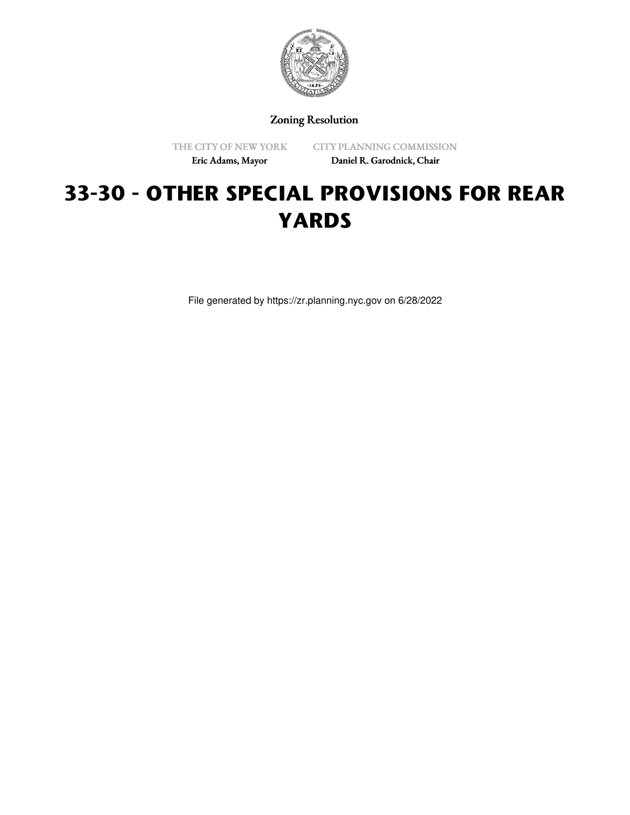

Zoning Resolution

THE CITY OF NEW YORK

CITY PLANNING COMMISSION

Eric Adams, Mayor

Daniel R. Garodnick, Chair

# **33-30 - OTHER SPECIAL PROVISIONS FOR REAR YARDS**

File generated by https://zr.planning.nyc.gov on 6/28/2022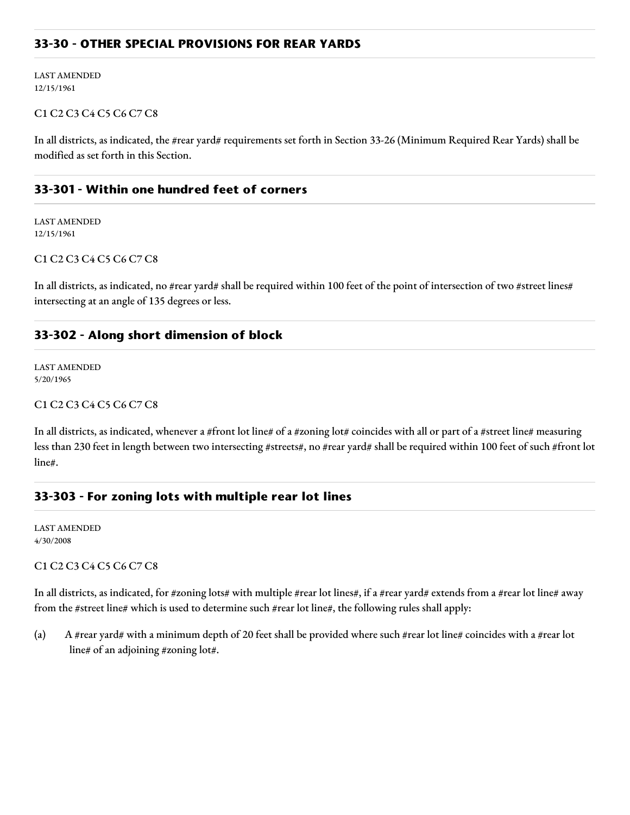# **33-30 - OTHER SPECIAL PROVISIONS FOR REAR YARDS**

LAST AMENDED 12/15/1961

#### C1 C2 C3 C4 C5 C6 C7 C8

In all districts, as indicated, the #rear yard# requirements set forth in Section 33-26 (Minimum Required Rear Yards) shall be modified as set forth in this Section.

# **33-301 - Within one hundred feet of corners**

LAST AMENDED 12/15/1961

#### C1 C2 C3 C4 C5 C6 C7 C8

In all districts, as indicated, no #rear yard# shall be required within 100 feet of the point of intersection of two #street lines# intersecting at an angle of 135 degrees or less.

# **33-302 - Along short dimension of block**

LAST AMENDED 5/20/1965

#### C1 C2 C3 C4 C5 C6 C7 C8

In all districts, as indicated, whenever a #front lot line# of a #zoning lot# coincides with all or part of a #street line# measuring less than 230 feet in length between two intersecting #streets#, no #rear yard# shall be required within 100 feet of such #front lot line#.

# **33-303 - For zoning lots with multiple rear lot lines**

LAST AMENDED 4/30/2008

#### C1 C2 C3 C4 C5 C6 C7 C8

In all districts, as indicated, for #zoning lots# with multiple #rear lot lines#, if a #rear yard# extends from a #rear lot line# away from the #street line# which is used to determine such #rear lot line#, the following rules shall apply:

(a) A #rear yard# with a minimum depth of 20 feet shall be provided where such #rear lot line# coincides with a #rear lot line# of an adjoining #zoning lot#.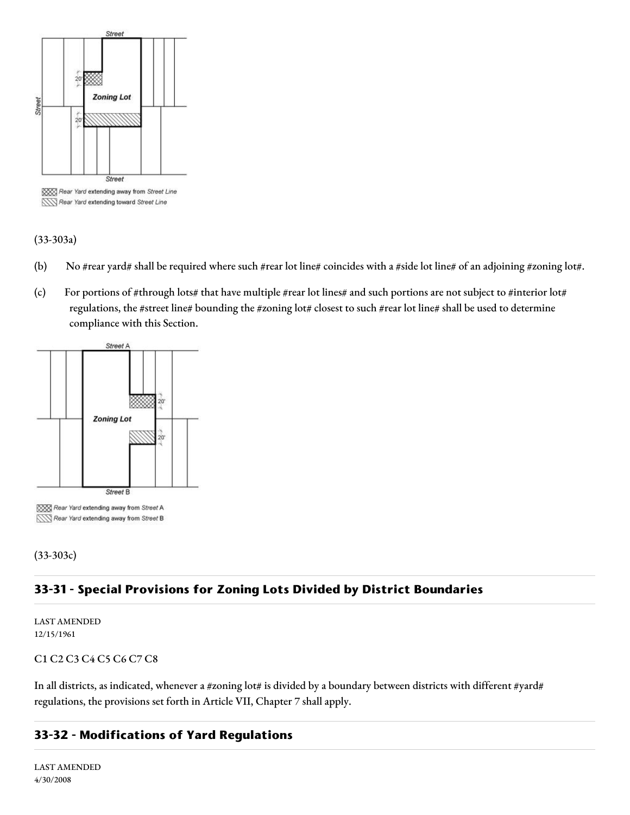

XXXX Rear Yard extending away from Street Line Rear Yard extending toward Street Line

#### (33-303a)

- (b) No #rear yard# shall be required where such #rear lot line# coincides with a #side lot line# of an adjoining #zoning lot#.
- (c) For portions of #through lots# that have multiple #rear lot lines# and such portions are not subject to #interior lot# regulations, the #street line# bounding the #zoning lot# closest to such #rear lot line# shall be used to determine compliance with this Section.



(33-303c)

# **33-31 - Special Provisions for Zoning Lots Divided by District Boundaries**

LAST AMENDED 12/15/1961

#### C1 C2 C3 C4 C5 C6 C7 C8

In all districts, as indicated, whenever a #zoning lot# is divided by a boundary between districts with different #yard# regulations, the provisions set forth in Article VII, Chapter 7 shall apply.

# **33-32 - Modifications of Yard Regulations**

LAST AMENDED 4/30/2008